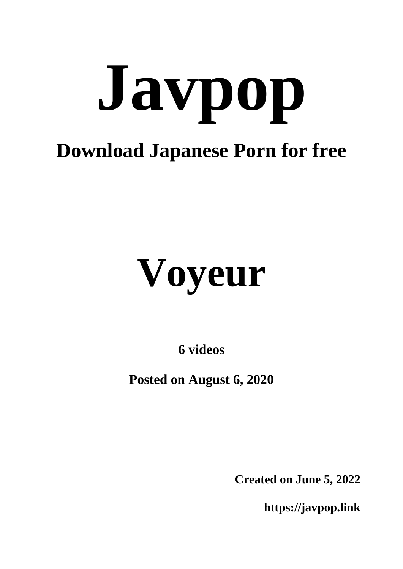



**6 videos**

**Posted on August 6, 2020**

**Created on June 5, 2022**

**<https://javpop.link>**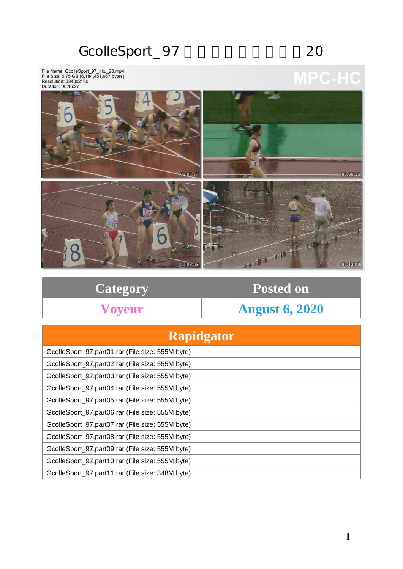#### GcolleSport\_97 20

## File Name: GcolleSport\_97\_riku\_20.mp4<br>File Size: 5.75 GB (6,184,451,667 bytes)<br>Resolution: 3840x2160<br>Duration: 00:16:27

**MPC-HC** 



## **Category Posted on**

| Rapidgator                                       |
|--------------------------------------------------|
| GcolleSport_97.part01.rar (File size: 555M byte) |
| GcolleSport_97.part02.rar (File size: 555M byte) |
| GcolleSport_97.part03.rar (File size: 555M byte) |
| GcolleSport_97.part04.rar (File size: 555M byte) |
| GcolleSport_97.part05.rar (File size: 555M byte) |
| GcolleSport_97.part06.rar (File size: 555M byte) |
| GcolleSport_97.part07.rar (File size: 555M byte) |
| GcolleSport_97.part08.rar (File size: 555M byte) |
| GcolleSport_97.part09.rar (File size: 555M byte) |
| GcolleSport_97.part10.rar (File size: 555M byte) |
| GcolleSport_97.part11.rar (File size: 348M byte) |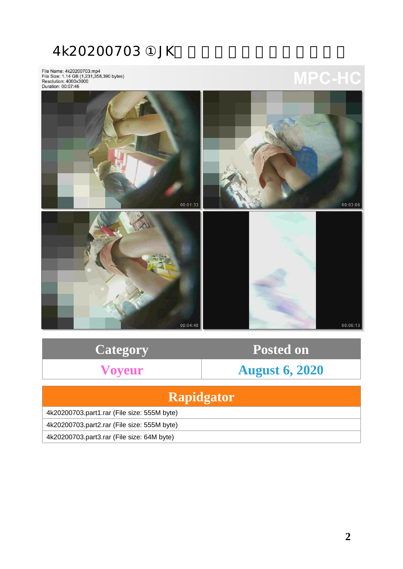## 4k20200703 JK

File Name: 4k20200703.mp4<br>File Size: 1.14 GB (1,231,358,390 bytes)<br>Resolution: 4000x3000<br>Duration: 00:07:46

# **MPC-HC** 00:01:33 00:03:06

00:04:40

| <b>Category</b> | <b>Posted on</b>      |
|-----------------|-----------------------|
| <b>Voyeur</b>   | <b>August 6, 2020</b> |

[4k20200703.part1.rar](http://rapidgator.net/file/73889d4d7510654b5d3157e1aa979f3b/4k20200703.part1.rar.html) (File size: 555M byte)

[4k20200703.part2.rar](https://rapidgator.net/file/e6ddbb13bd8584779c44a955b0a0b05a/4k20200703.part2.rar.html) (File size: 555M byte)

[4k20200703.part3.rar](https://rapidgator.net/file/bf7a30423db036a47b3169d2141a6e48/4k20200703.part3.rar.html) (File size: 64M byte)

00:06:13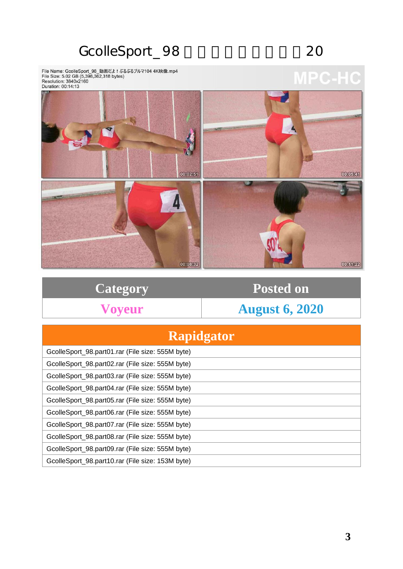#### GcolleSport\_98 20

# File Name: GcolleSport\_98\_動画だよ!ぶるぶるブルマ104 4K映像.mp4<br>File Size: 5.02 GB (5,398,362,318 bytes)<br>Resolution: 3840x2160<br>Duration: 00:14:13



## **Category Posted on**

| Rapidgator                                       |
|--------------------------------------------------|
| GcolleSport_98.part01.rar (File size: 555M byte) |
| GcolleSport_98.part02.rar (File size: 555M byte) |
| GcolleSport_98.part03.rar (File size: 555M byte) |
| GcolleSport_98.part04.rar (File size: 555M byte) |
| GcolleSport_98.part05.rar (File size: 555M byte) |
| GcolleSport_98.part06.rar (File size: 555M byte) |
| GcolleSport_98.part07.rar (File size: 555M byte) |
| GcolleSport_98.part08.rar (File size: 555M byte) |
| GcolleSport_98.part09.rar (File size: 555M byte) |
| GcolleSport_98.part10.rar (File size: 153M byte) |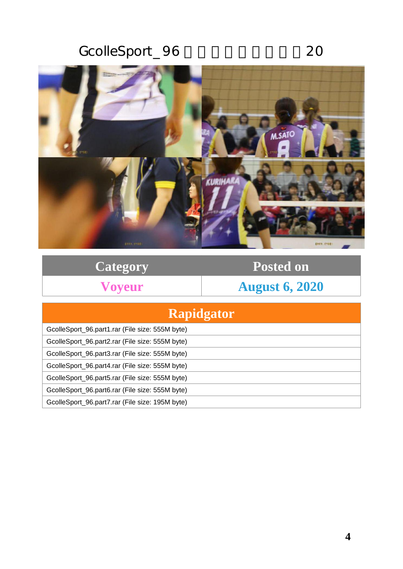## GcolleSport\_96 20



## **Category Posted on**

| Rapidgator                                      |
|-------------------------------------------------|
| GcolleSport_96.part1.rar (File size: 555M byte) |
| GcolleSport_96.part2.rar (File size: 555M byte) |
| GcolleSport_96.part3.rar (File size: 555M byte) |
| GcolleSport_96.part4.rar (File size: 555M byte) |
| GcolleSport_96.part5.rar (File size: 555M byte) |
| GcolleSport_96.part6.rar (File size: 555M byte) |
| GcolleSport_96.part7.rar (File size: 195M byte) |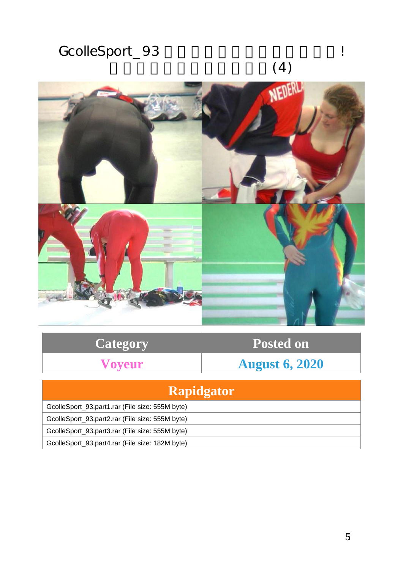## GcolleSport\_93 **The SecolleSport**

NEDERL

**Category Posted on [Voyeur](https://javpop.link/category/voyeur) [August 6, 2020](https://javpop.link/2020/08/06)**

 $(4)$ 

| Rapidgator                                      |
|-------------------------------------------------|
| GcolleSport_93.part1.rar (File size: 555M byte) |
| GcolleSport_93.part2.rar (File size: 555M byte) |
| GcolleSport_93.part3.rar (File size: 555M byte) |
| GcolleSport_93.part4.rar (File size: 182M byte) |